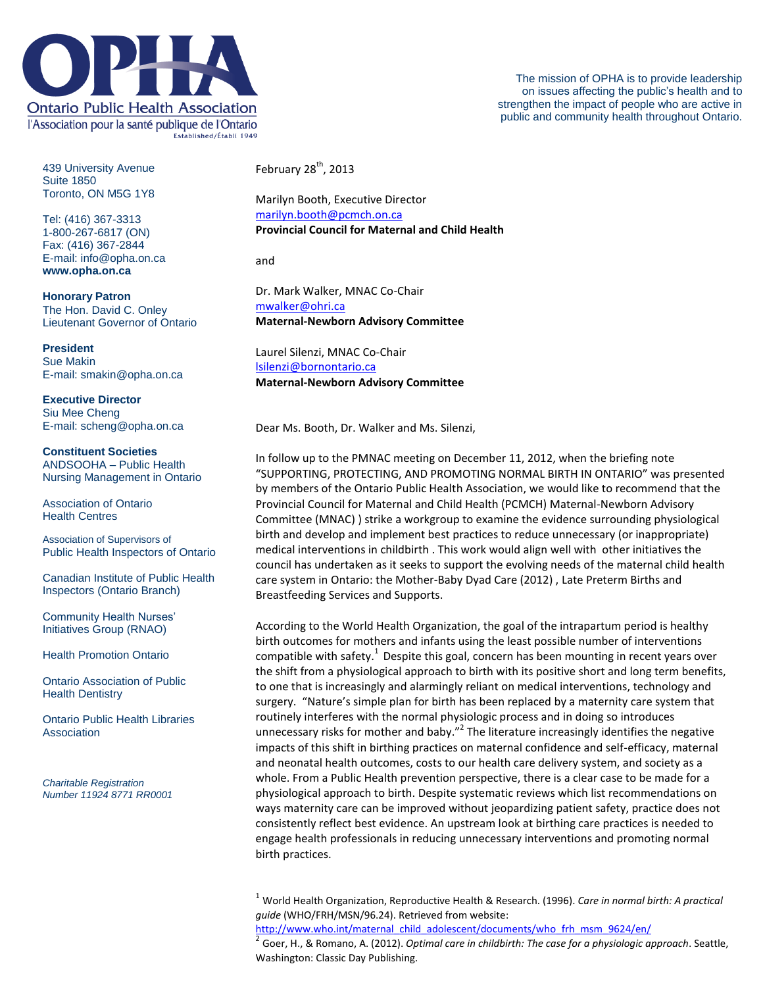

The mission of OPHA is to provide leadership on issues affecting the public's health and to strengthen the impact of people who are active in public and community health throughout Ontario.

439 University Avenue Suite 1850 Toronto, ON M5G 1Y8

Tel: (416) 367-3313 1-800-267-6817 (ON) Fax: (416) 367-2844 E-mail: info@opha.on.ca **www.opha.on.ca**

**Honorary Patron** The Hon. David C. Onley Lieutenant Governor of Ontario

**President** Sue Makin E-mail: smakin@opha.on.ca

**Executive Director** Siu Mee Cheng E-mail: scheng@opha.on.ca

**Constituent Societies** ANDSOOHA – Public Health Nursing Management in Ontario

Association of Ontario Health Centres

Association of Supervisors of Public Health Inspectors of Ontario

Canadian Institute of Public Health Inspectors (Ontario Branch)

Community Health Nurses' Initiatives Group (RNAO)

Health Promotion Ontario

Ontario Association of Public **Health Dentistry** 

Ontario Public Health Libraries Association

*Charitable Registration Number 11924 8771 RR0001* February  $28<sup>th</sup>$ , 2013

Marilyn Booth, Executive Director [marilyn.booth@pcmch.on.ca](mailto:marilyn.booth@pcmch.on.ca) **Provincial Council for Maternal and Child Health**

and

Dr. Mark Walker, MNAC Co-Chair [mwalker@ohri.ca](mailto:mwalker@ohri.ca) **Maternal-Newborn Advisory Committee**

Laurel Silenzi, MNAC Co-Chair [lsilenzi@bornontario.ca](mailto:lsilenzi@bornontario.ca) **Maternal-Newborn Advisory Committee**

Dear Ms. Booth, Dr. Walker and Ms. Silenzi,

In follow up to the PMNAC meeting on December 11, 2012, when the briefing note "SUPPORTING, PROTECTING, AND PROMOTING NORMAL BIRTH IN ONTARIO" was presented by members of the Ontario Public Health Association, we would like to recommend that the Provincial Council for Maternal and Child Health (PCMCH) Maternal-Newborn Advisory Committee (MNAC) ) strike a workgroup to examine the evidence surrounding physiological birth and develop and implement best practices to reduce unnecessary (or inappropriate) medical interventions in childbirth . This work would align well with other initiatives the council has undertaken as it seeks to support the evolving needs of the maternal child health care system in Ontario: the Mother-Baby Dyad Care (2012) , Late Preterm Births and Breastfeeding Services and Supports.

According to the World Health Organization, the goal of the intrapartum period is healthy birth outcomes for mothers and infants using the least possible number of interventions compatible with safety.<sup>1</sup> Despite this goal, concern has been mounting in recent years over the shift from a physiological approach to birth with its positive short and long term benefits, to one that is increasingly and alarmingly reliant on medical interventions, technology and surgery. "Nature's simple plan for birth has been replaced by a maternity care system that routinely interferes with the normal physiologic process and in doing so introduces unnecessary risks for mother and baby."<sup>2</sup> The literature increasingly identifies the negative impacts of this shift in birthing practices on maternal confidence and self-efficacy, maternal and neonatal health outcomes, costs to our health care delivery system, and society as a whole. From a Public Health prevention perspective, there is a clear case to be made for a physiological approach to birth. Despite systematic reviews which list recommendations on ways maternity care can be improved without jeopardizing patient safety, practice does not consistently reflect best evidence. An upstream look at birthing care practices is needed to engage health professionals in reducing unnecessary interventions and promoting normal birth practices.

[http://www.who.int/maternal\\_child\\_adolescent/documents/who\\_frh\\_msm\\_9624/en/](http://www.who.int/maternal_child_adolescent/documents/who_frh_msm_9624/en/)

2 Goer, H., & Romano, A. (2012). *Optimal care in childbirth: The case for a physiologic approach*. Seattle, Washington: Classic Day Publishing.

<sup>1</sup> World Health Organization, Reproductive Health & Research. (1996). *Care in normal birth: A practical guide* (WHO/FRH/MSN/96.24). Retrieved from website: